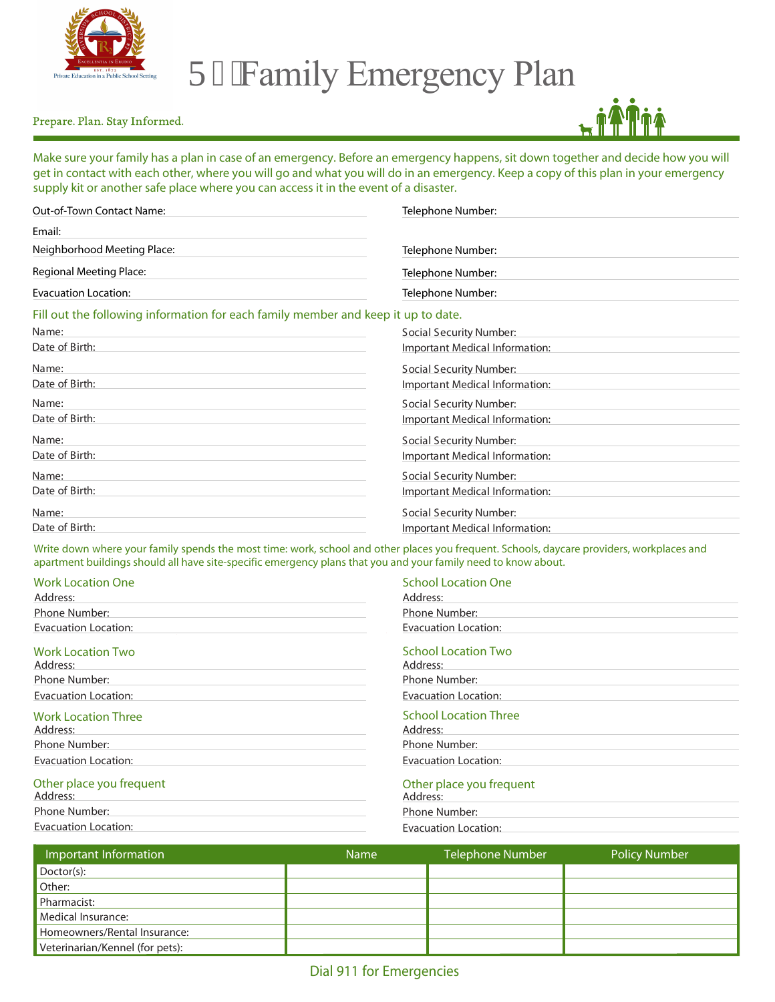

## T4'Family Emergency Plan

## Prepare. Plan. Stay Informed.



Make sure your family has a plan in case of an emergency. Before an emergency happens, sit down together and decide how you will get in contact with each other, where you will go and what you will do in an emergency. Keep a copy of this plan in your emergency supply kit or another safe place where you can access it in the event of a disaster.

| <b>Out-of-Town Contact Name:</b>                                                  | Telephone Number:              |
|-----------------------------------------------------------------------------------|--------------------------------|
| Email:                                                                            |                                |
| Neighborhood Meeting Place:                                                       | Telephone Number:              |
| <b>Regional Meeting Place:</b>                                                    | Telephone Number:              |
| <b>Evacuation Location:</b>                                                       | Telephone Number:              |
| Fill out the following information for each family member and keep it up to date. |                                |
| Name:                                                                             | <b>Social Security Number:</b> |
| Date of Birth:                                                                    | Important Medical Information: |
| Name:                                                                             | <b>Social Security Number:</b> |
| Date of Birth:                                                                    | Important Medical Information: |
| Name:                                                                             | <b>Social Security Number:</b> |
| Date of Birth:                                                                    | Important Medical Information: |
| Name:                                                                             | <b>Social Security Number:</b> |
| Date of Birth:                                                                    | Important Medical Information: |
| Name:                                                                             | <b>Social Security Number:</b> |
| Date of Birth:                                                                    | Important Medical Information: |
| Name:                                                                             | <b>Social Security Number:</b> |
| Date of Birth:                                                                    | Important Medical Information: |

Write down where your family spends the most time: work, school and other places you frequent. Schools, daycare providers, workplaces and apartment buildings should all have site-specific emergency plans that you and your family need to know about.

| <b>Work Location One</b>               | <b>School Location One</b>               |  |
|----------------------------------------|------------------------------------------|--|
| Address:                               | Address:                                 |  |
| Phone Number:                          | Phone Number:                            |  |
| <b>Evacuation Location:</b>            | <b>Evacuation Location:</b>              |  |
| <b>Work Location Two</b><br>Address:   | <b>School Location Two</b><br>Address:   |  |
| Phone Number:                          | Phone Number:                            |  |
| <b>Evacuation Location:</b>            | <b>Evacuation Location:</b>              |  |
| <b>Work Location Three</b><br>Address: | <b>School Location Three</b><br>Address: |  |
| Phone Number:                          | Phone Number:                            |  |
| <b>Evacuation Location:</b>            | <b>Evacuation Location:</b>              |  |
| Other place you frequent<br>Address:   | Other place you frequent<br>Address:     |  |
| Phone Number:                          | Phone Number:                            |  |

| Address:             | Address:             |
|----------------------|----------------------|
| Phone Number:        | Phone Number:        |
| Evacuation Location: | Evacuation Location: |
|                      |                      |

| Important Information           | <b>Name</b> | <b>Telephone Number</b> | <b>Policy Number</b> |
|---------------------------------|-------------|-------------------------|----------------------|
| Doctor(s):                      |             |                         |                      |
| Other:                          |             |                         |                      |
| Pharmacist:                     |             |                         |                      |
| Medical Insurance:              |             |                         |                      |
| Homeowners/Rental Insurance:    |             |                         |                      |
| Veterinarian/Kennel (for pets): |             |                         |                      |